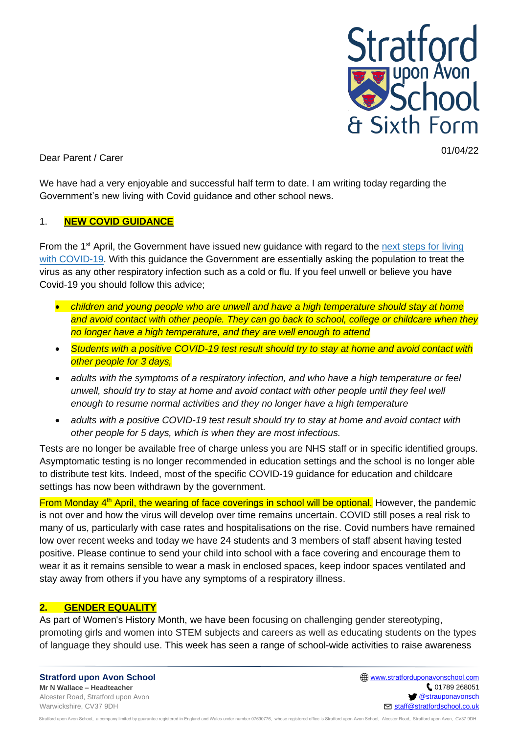

Dear Parent / Carer

We have had a very enjoyable and successful half term to date. I am writing today regarding the Government's new living with Covid guidance and other school news.

### 1. **NEW COVID GUIDANCE**

From the 1<sup>st</sup> April, the Government have issued new guidance with regard to the next steps for living [with COVID-19.](https://www.gov.uk/government/news/government-sets-out-next-steps-for-living-with-covid?utm_source=31%20March%202022%20C19&utm_medium=Daily%20Email%20C19&utm_campaign=DfE%20C19) With this guidance the Government are essentially asking the population to treat the virus as any other respiratory infection such as a cold or flu. If you feel unwell or believe you have Covid-19 you should follow this advice;

- *children and young people who are unwell and have a high temperature should stay at home and avoid contact with other people. They can go back to school, college or childcare when they no longer have a high temperature, and they are well enough to attend*
- *Students with a positive COVID-19 test result should try to stay at home and avoid contact with other people for 3 days,*
- *adults with the symptoms of a respiratory infection, and who have a high temperature or feel unwell, should try to stay at home and avoid contact with other people until they feel well enough to resume normal activities and they no longer have a high temperature*
- *adults with a positive COVID-19 test result should try to stay at home and avoid contact with other people for 5 days, which is when they are most infectious.*

Tests are no longer be available free of charge unless you are NHS staff or in specific identified groups. Asymptomatic testing is no longer recommended in education settings and the school is no longer able to distribute test kits. Indeed, most of the specific COVID-19 guidance for education and childcare settings has now been withdrawn by the government.

From Monday 4<sup>th</sup> April, the wearing of face coverings in school will be optional. However, the pandemic is not over and how the virus will develop over time remains uncertain. COVID still poses a real risk to many of us, particularly with case rates and hospitalisations on the rise. Covid numbers have remained low over recent weeks and today we have 24 students and 3 members of staff absent having tested positive. Please continue to send your child into school with a face covering and encourage them to wear it as it remains sensible to wear a mask in enclosed spaces, keep indoor spaces ventilated and stay away from others if you have any symptoms of a respiratory illness.

# **2. GENDER EQUALITY**

As part of Women's History Month, we have been focusing on challenging gender stereotyping, promoting girls and women into STEM subjects and careers as well as educating students on the types of language they should use. This week has seen a range of school-wide activities to raise awareness

**Stratford upon Avon School Mr N Wallace – Headteacher** Alcester Road, Stratford upon Avon Warwickshire, CV37 9DH

**ED** [www.stratforduponavonschool.com](http://www.stratforduponavonschool.com/)  $C$  01789 268051 **[@strauponavonsch](https://twitter.com/StraUponAvonSch) S** [staff@stratfordschool.co.uk](mailto:staff@stratfordschool.co.uk)

of an whore through the Company limited by guarantee registered in England and Wales under number 07690776, whose registered office is Stratford upon Avon School, Alcester Road, Stratford upon Avon, CV37 9DH (CV37 9DH CV3